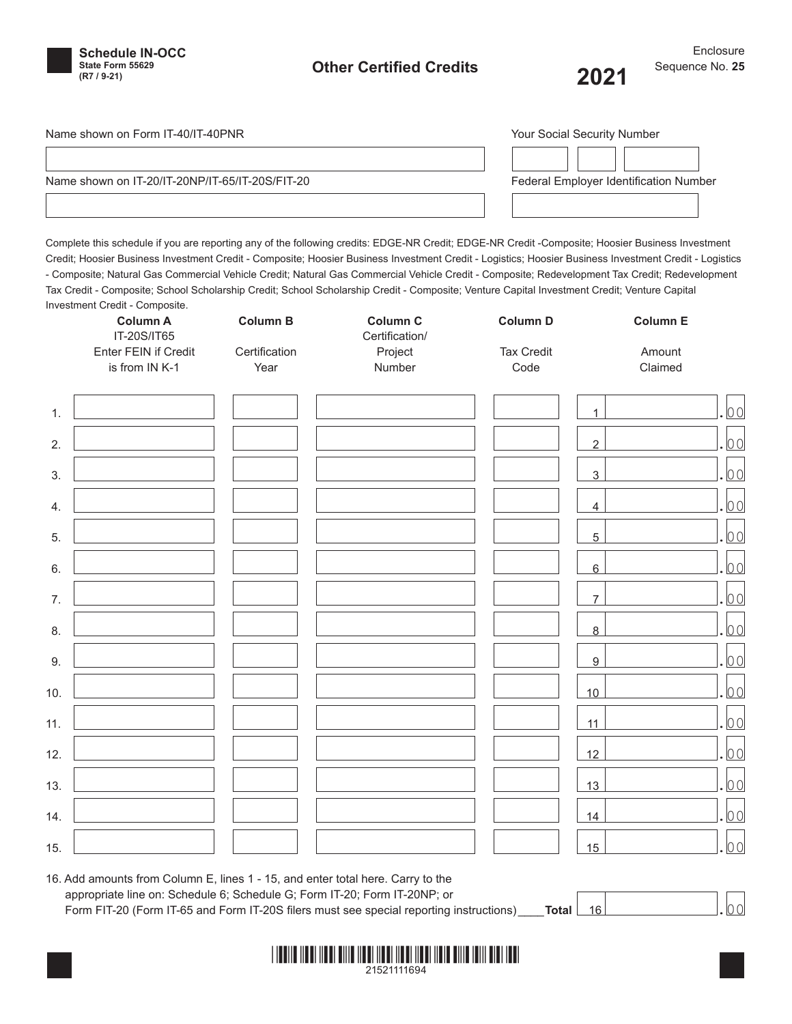

# **Other Certified Credits (R7 / 9-21) 2021**

Name shown on Form IT-40/IT-40PNR

Name shown on IT-20/IT-20NP/IT-65/IT-20S/FIT-20

| <b>Your Social Security Number</b>     |  |  |  |  |
|----------------------------------------|--|--|--|--|
|                                        |  |  |  |  |
| Federal Employer Identification Number |  |  |  |  |
|                                        |  |  |  |  |

Complete this schedule if you are reporting any of the following credits: EDGE-NR Credit; EDGE-NR Credit -Composite; Hoosier Business Investment Credit; Hoosier Business Investment Credit - Composite; Hoosier Business Investment Credit - Logistics; Hoosier Business Investment Credit - Logistics - Composite; Natural Gas Commercial Vehicle Credit; Natural Gas Commercial Vehicle Credit - Composite; Redevelopment Tax Credit; Redevelopment Tax Credit - Composite; School Scholarship Credit; School Scholarship Credit - Composite; Venture Capital Investment Credit; Venture Capital Investment Credit - Composite.

|     | <b></b><br><b>Column A</b><br>IT-20S/IT65<br>Enter FEIN if Credit<br>is from IN K-1 | Column B<br>Certification<br>Year | <b>Column C</b><br>Certification/<br>Project<br>Number | <b>Column D</b><br><b>Tax Credit</b><br>Code | <b>Column E</b><br>Amount<br>Claimed |                |
|-----|-------------------------------------------------------------------------------------|-----------------------------------|--------------------------------------------------------|----------------------------------------------|--------------------------------------|----------------|
| 1.  |                                                                                     |                                   |                                                        |                                              | $\overline{1}$                       | 0 <sub>0</sub> |
| 2.  |                                                                                     |                                   |                                                        |                                              | $\overline{2}$                       | 0 <sub>0</sub> |
| 3.  |                                                                                     |                                   |                                                        |                                              | 3                                    | 0 <sub>0</sub> |
| 4.  |                                                                                     |                                   |                                                        |                                              | $\overline{4}$                       | 0 <sub>0</sub> |
| 5.  |                                                                                     |                                   |                                                        |                                              | 5                                    | 00             |
| 6.  |                                                                                     |                                   |                                                        |                                              | $6\phantom{a}$                       | 00             |
| 7.  |                                                                                     |                                   |                                                        |                                              | $\overline{7}$                       | 0 <sub>0</sub> |
| 8.  |                                                                                     |                                   |                                                        |                                              | 8                                    | 0 <sub>0</sub> |
| 9.  |                                                                                     |                                   |                                                        |                                              | $\boldsymbol{9}$                     | 0 <sub>0</sub> |
| 10. |                                                                                     |                                   |                                                        |                                              | 10                                   | 0 <sub>0</sub> |
| 11. |                                                                                     |                                   |                                                        |                                              | 11                                   | 00             |
| 12. |                                                                                     |                                   |                                                        |                                              | 12                                   | 0 <sub>0</sub> |
| 13. |                                                                                     |                                   |                                                        |                                              | 13                                   | 0 <sub>0</sub> |
| 14. |                                                                                     |                                   |                                                        |                                              | 14                                   | 00             |
| 15. |                                                                                     |                                   |                                                        |                                              | 15                                   | 00             |

## 16. Add amounts from Column E, lines 1 - 15, and enter total here. Carry to the appropriate line on: Schedule 6; Schedule G; Form IT-20; Form IT-20NP; or Form FIT-20 (Form IT-65 and Form IT-20S filers must see special reporting instructions) **\_\_\_\_\_Total**  $\begin{bmatrix} 16 & 16 \end{bmatrix}$

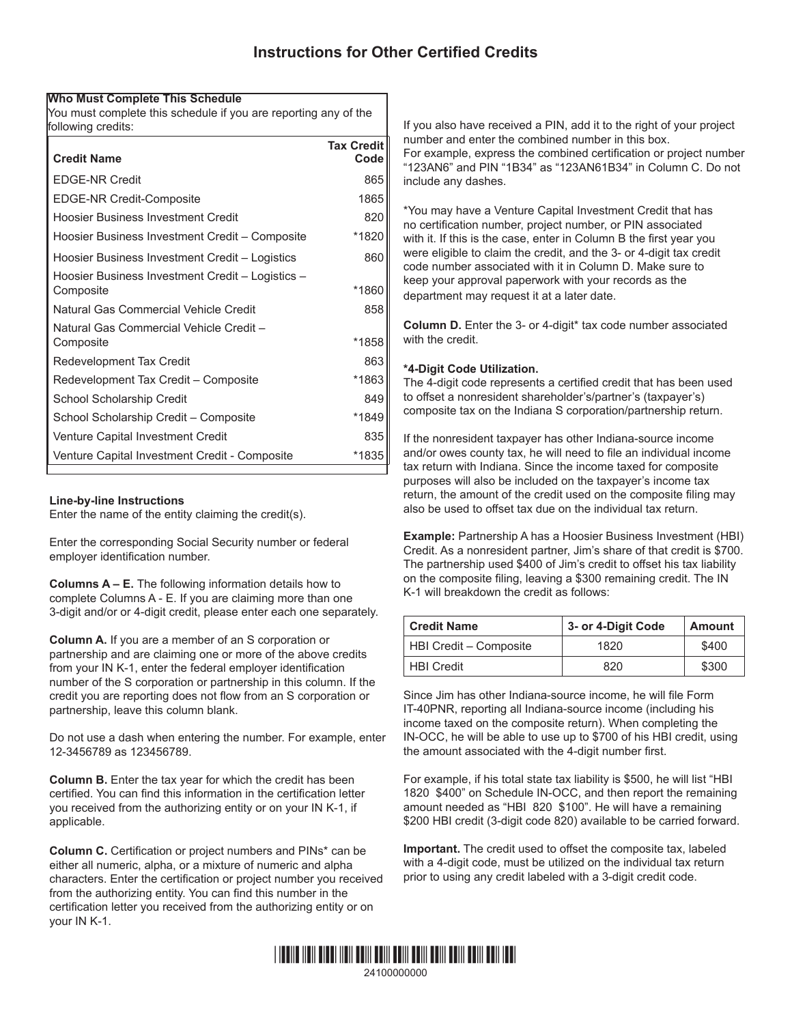### **Who Must Complete This Schedule**

You must complete this schedule if you are reporting any of the following credits:

| <b>Credit Name</b>                                            | <b>Tax Credit</b><br>Code |
|---------------------------------------------------------------|---------------------------|
| <b>EDGE-NR Credit</b>                                         | 865                       |
| <b>EDGE-NR Credit-Composite</b>                               | 1865                      |
| Hoosier Business Investment Credit                            | 820                       |
| Hoosier Business Investment Credit - Composite                | *1820                     |
| Hoosier Business Investment Credit - Logistics                | 860                       |
| Hoosier Business Investment Credit - Logistics -<br>Composite | *1860                     |
| Natural Gas Commercial Vehicle Credit                         | 858                       |
| Natural Gas Commercial Vehicle Credit -<br>Composite          | *1858                     |
| Redevelopment Tax Credit                                      | 863                       |
| Redevelopment Tax Credit - Composite                          | *1863                     |
| School Scholarship Credit                                     | 849                       |
| School Scholarship Credit - Composite                         | *1849                     |
| Venture Capital Investment Credit                             | 835                       |
| Venture Capital Investment Credit - Composite                 | *1835                     |

## **Line-by-line Instructions**

Enter the name of the entity claiming the credit(s).

Enter the corresponding Social Security number or federal employer identification number.

**Columns A – E.** The following information details how to complete Columns A - E. If you are claiming more than one 3-digit and/or or 4-digit credit, please enter each one separately.

**Column A.** If you are a member of an S corporation or partnership and are claiming one or more of the above credits from your IN K-1, enter the federal employer identification number of the S corporation or partnership in this column. If the credit you are reporting does not flow from an S corporation or partnership, leave this column blank.

Do not use a dash when entering the number. For example, enter 12-3456789 as 123456789.

**Column B.** Enter the tax year for which the credit has been certified. You can find this information in the certification letter you received from the authorizing entity or on your IN K-1, if applicable.

**Column C.** Certification or project numbers and PINs\* can be either all numeric, alpha, or a mixture of numeric and alpha characters. Enter the certification or project number you received from the authorizing entity. You can find this number in the certification letter you received from the authorizing entity or on your IN K-1.

If you also have received a PIN, add it to the right of your project number and enter the combined number in this box. For example, express the combined certification or project number "123AN6" and PIN "1B34" as "123AN61B34" in Column C. Do not include any dashes.

\*You may have a Venture Capital Investment Credit that has no certification number, project number, or PIN associated with it. If this is the case, enter in Column B the first year you were eligible to claim the credit, and the 3- or 4-digit tax credit code number associated with it in Column D. Make sure to keep your approval paperwork with your records as the department may request it at a later date.

**Column D.** Enter the 3- or 4-digit\* tax code number associated with the credit.

### **\*4-Digit Code Utilization.**

The 4-digit code represents a certified credit that has been used to offset a nonresident shareholder's/partner's (taxpayer's) composite tax on the Indiana S corporation/partnership return.

If the nonresident taxpayer has other Indiana-source income and/or owes county tax, he will need to file an individual income tax return with Indiana. Since the income taxed for composite purposes will also be included on the taxpayer's income tax return, the amount of the credit used on the composite filing may also be used to offset tax due on the individual tax return.

**Example:** Partnership A has a Hoosier Business Investment (HBI) Credit. As a nonresident partner, Jim's share of that credit is \$700. The partnership used \$400 of Jim's credit to offset his tax liability on the composite filing, leaving a \$300 remaining credit. The IN K-1 will breakdown the credit as follows:

| <b>Credit Name</b>     | 3- or 4-Digit Code | <b>Amount</b> |
|------------------------|--------------------|---------------|
| HBI Credit - Composite | 1820               | \$400         |
| <b>HBI</b> Credit      | 820                | \$300         |

Since Jim has other Indiana-source income, he will file Form IT-40PNR, reporting all Indiana-source income (including his income taxed on the composite return). When completing the IN-OCC, he will be able to use up to \$700 of his HBI credit, using the amount associated with the 4-digit number first.

For example, if his total state tax liability is \$500, he will list "HBI 1820 \$400" on Schedule IN-OCC, and then report the remaining amount needed as "HBI 820 \$100". He will have a remaining \$200 HBI credit (3-digit code 820) available to be carried forward.

**Important.** The credit used to offset the composite tax, labeled with a 4-digit code, must be utilized on the individual tax return prior to using any credit labeled with a 3-digit credit code.